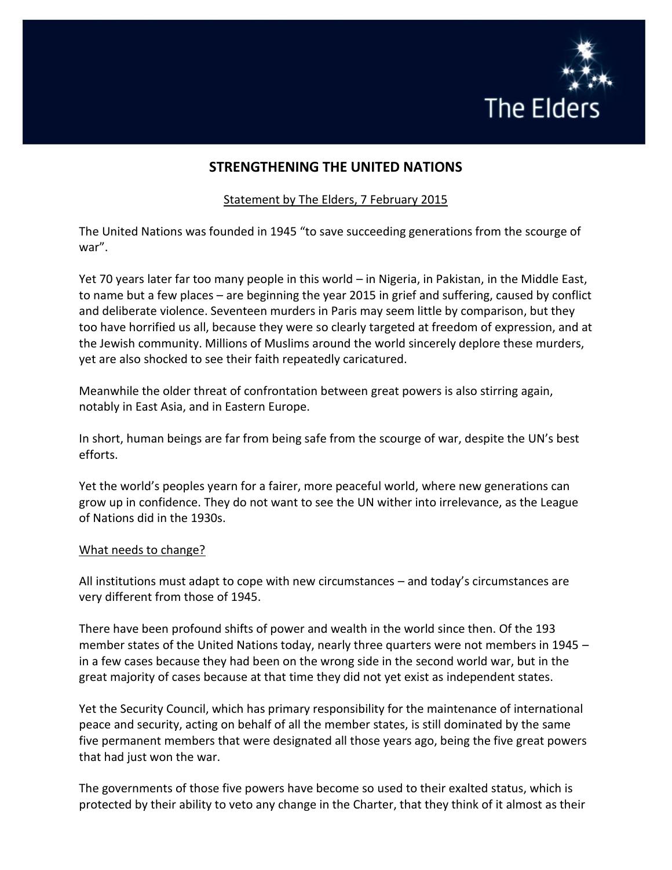

# **STRENGTHENING THE UNITED NATIONS**

## Statement by The Elders, 7 February 2015

The United Nations was founded in 1945 "to save succeeding generations from the scourge of war".

Yet 70 years later far too many people in this world – in Nigeria, in Pakistan, in the Middle East, to name but a few places – are beginning the year 2015 in grief and suffering, caused by conflict and deliberate violence. Seventeen murders in Paris may seem little by comparison, but they too have horrified us all, because they were so clearly targeted at freedom of expression, and at the Jewish community. Millions of Muslims around the world sincerely deplore these murders, yet are also shocked to see their faith repeatedly caricatured.

Meanwhile the older threat of confrontation between great powers is also stirring again, notably in East Asia, and in Eastern Europe.

In short, human beings are far from being safe from the scourge of war, despite the UN's best efforts.

Yet the world's peoples yearn for a fairer, more peaceful world, where new generations can grow up in confidence. They do not want to see the UN wither into irrelevance, as the League of Nations did in the 1930s.

#### What needs to change?

All institutions must adapt to cope with new circumstances – and today's circumstances are very different from those of 1945.

There have been profound shifts of power and wealth in the world since then. Of the 193 member states of the United Nations today, nearly three quarters were not members in 1945 – in a few cases because they had been on the wrong side in the second world war, but in the great majority of cases because at that time they did not yet exist as independent states.

Yet the Security Council, which has primary responsibility for the maintenance of international peace and security, acting on behalf of all the member states, is still dominated by the same five permanent members that were designated all those years ago, being the five great powers that had just won the war.

The governments of those five powers have become so used to their exalted status, which is protected by their ability to veto any change in the Charter, that they think of it almost as their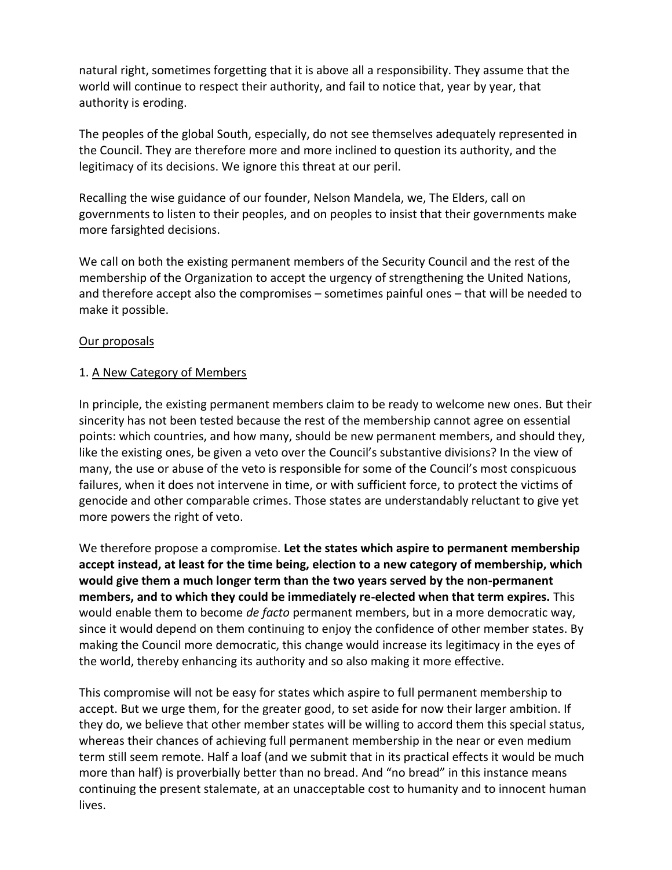natural right, sometimes forgetting that it is above all a responsibility. They assume that the world will continue to respect their authority, and fail to notice that, year by year, that authority is eroding.

The peoples of the global South, especially, do not see themselves adequately represented in the Council. They are therefore more and more inclined to question its authority, and the legitimacy of its decisions. We ignore this threat at our peril.

Recalling the wise guidance of our founder, Nelson Mandela, we, The Elders, call on governments to listen to their peoples, and on peoples to insist that their governments make more farsighted decisions.

We call on both the existing permanent members of the Security Council and the rest of the membership of the Organization to accept the urgency of strengthening the United Nations, and therefore accept also the compromises – sometimes painful ones – that will be needed to make it possible.

## Our proposals

## 1. A New Category of Members

In principle, the existing permanent members claim to be ready to welcome new ones. But their sincerity has not been tested because the rest of the membership cannot agree on essential points: which countries, and how many, should be new permanent members, and should they, like the existing ones, be given a veto over the Council's substantive divisions? In the view of many, the use or abuse of the veto is responsible for some of the Council's most conspicuous failures, when it does not intervene in time, or with sufficient force, to protect the victims of genocide and other comparable crimes. Those states are understandably reluctant to give yet more powers the right of veto.

We therefore propose a compromise. **Let the states which aspire to permanent membership accept instead, at least for the time being, election to a new category of membership, which would give them a much longer term than the two years served by the non-permanent members, and to which they could be immediately re-elected when that term expires.** This would enable them to become *de facto* permanent members, but in a more democratic way, since it would depend on them continuing to enjoy the confidence of other member states. By making the Council more democratic, this change would increase its legitimacy in the eyes of the world, thereby enhancing its authority and so also making it more effective.

This compromise will not be easy for states which aspire to full permanent membership to accept. But we urge them, for the greater good, to set aside for now their larger ambition. If they do, we believe that other member states will be willing to accord them this special status, whereas their chances of achieving full permanent membership in the near or even medium term still seem remote. Half a loaf (and we submit that in its practical effects it would be much more than half) is proverbially better than no bread. And "no bread" in this instance means continuing the present stalemate, at an unacceptable cost to humanity and to innocent human lives.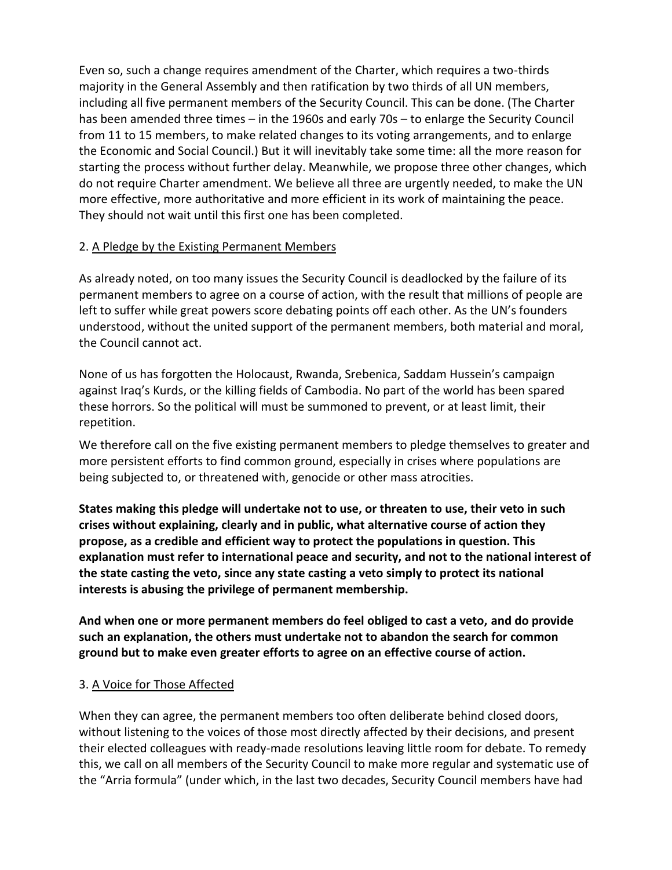Even so, such a change requires amendment of the Charter, which requires a two-thirds majority in the General Assembly and then ratification by two thirds of all UN members, including all five permanent members of the Security Council. This can be done. (The Charter has been amended three times – in the 1960s and early 70s – to enlarge the Security Council from 11 to 15 members, to make related changes to its voting arrangements, and to enlarge the Economic and Social Council.) But it will inevitably take some time: all the more reason for starting the process without further delay. Meanwhile, we propose three other changes, which do not require Charter amendment. We believe all three are urgently needed, to make the UN more effective, more authoritative and more efficient in its work of maintaining the peace. They should not wait until this first one has been completed.

# 2. A Pledge by the Existing Permanent Members

As already noted, on too many issues the Security Council is deadlocked by the failure of its permanent members to agree on a course of action, with the result that millions of people are left to suffer while great powers score debating points off each other. As the UN's founders understood, without the united support of the permanent members, both material and moral, the Council cannot act.

None of us has forgotten the Holocaust, Rwanda, Srebenica, Saddam Hussein's campaign against Iraq's Kurds, or the killing fields of Cambodia. No part of the world has been spared these horrors. So the political will must be summoned to prevent, or at least limit, their repetition.

We therefore call on the five existing permanent members to pledge themselves to greater and more persistent efforts to find common ground, especially in crises where populations are being subjected to, or threatened with, genocide or other mass atrocities.

**States making this pledge will undertake not to use, or threaten to use, their veto in such crises without explaining, clearly and in public, what alternative course of action they propose, as a credible and efficient way to protect the populations in question. This explanation must refer to international peace and security, and not to the national interest of the state casting the veto, since any state casting a veto simply to protect its national interests is abusing the privilege of permanent membership.**

**And when one or more permanent members do feel obliged to cast a veto, and do provide such an explanation, the others must undertake not to abandon the search for common ground but to make even greater efforts to agree on an effective course of action.**

# 3. A Voice for Those Affected

When they can agree, the permanent members too often deliberate behind closed doors, without listening to the voices of those most directly affected by their decisions, and present their elected colleagues with ready-made resolutions leaving little room for debate. To remedy this, we call on all members of the Security Council to make more regular and systematic use of the "Arria formula" (under which, in the last two decades, Security Council members have had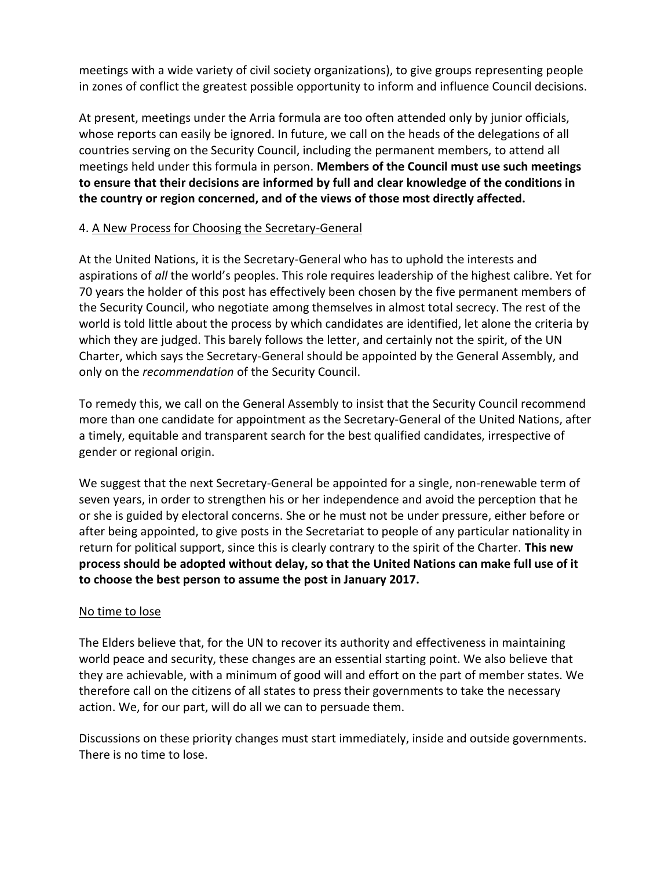meetings with a wide variety of civil society organizations), to give groups representing people in zones of conflict the greatest possible opportunity to inform and influence Council decisions.

At present, meetings under the Arria formula are too often attended only by junior officials, whose reports can easily be ignored. In future, we call on the heads of the delegations of all countries serving on the Security Council, including the permanent members, to attend all meetings held under this formula in person. **Members of the Council must use such meetings to ensure that their decisions are informed by full and clear knowledge of the conditions in the country or region concerned, and of the views of those most directly affected.**

## 4. A New Process for Choosing the Secretary-General

At the United Nations, it is the Secretary-General who has to uphold the interests and aspirations of *all* the world's peoples. This role requires leadership of the highest calibre. Yet for 70 years the holder of this post has effectively been chosen by the five permanent members of the Security Council, who negotiate among themselves in almost total secrecy. The rest of the world is told little about the process by which candidates are identified, let alone the criteria by which they are judged. This barely follows the letter, and certainly not the spirit, of the UN Charter, which says the Secretary-General should be appointed by the General Assembly, and only on the *recommendation* of the Security Council.

To remedy this, we call on the General Assembly to insist that the Security Council recommend more than one candidate for appointment as the Secretary-General of the United Nations, after a timely, equitable and transparent search for the best qualified candidates, irrespective of gender or regional origin.

We suggest that the next Secretary-General be appointed for a single, non-renewable term of seven years, in order to strengthen his or her independence and avoid the perception that he or she is guided by electoral concerns. She or he must not be under pressure, either before or after being appointed, to give posts in the Secretariat to people of any particular nationality in return for political support, since this is clearly contrary to the spirit of the Charter. **This new process should be adopted without delay, so that the United Nations can make full use of it to choose the best person to assume the post in January 2017.**

#### No time to lose

The Elders believe that, for the UN to recover its authority and effectiveness in maintaining world peace and security, these changes are an essential starting point. We also believe that they are achievable, with a minimum of good will and effort on the part of member states. We therefore call on the citizens of all states to press their governments to take the necessary action. We, for our part, will do all we can to persuade them.

Discussions on these priority changes must start immediately, inside and outside governments. There is no time to lose.